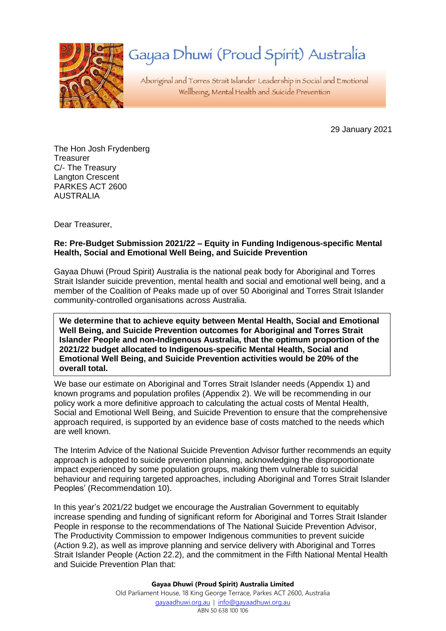

# Gayaa Dhuwi (Proud Spirit) Australia

Aboriginal and Torres Strait Islander Leadership in Social and Emotional Wellbeing, Mental Health and Suicide Prevention

29 January 2021

The Hon Josh Frydenberg **Treasurer** C/- The Treasury Langton Crescent PARKES ACT 2600 AUSTRALIA

Dear Treasurer,

### **Re: Pre-Budget Submission 2021/22 – Equity in Funding Indigenous-specific Mental Health, Social and Emotional Well Being, and Suicide Prevention**

Gayaa Dhuwi (Proud Spirit) Australia is the national peak body for Aboriginal and Torres Strait Islander suicide prevention, mental health and social and emotional well being, and a member of the Coalition of Peaks made up of over 50 Aboriginal and Torres Strait Islander community-controlled organisations across Australia.

**We determine that to achieve equity between Mental Health, Social and Emotional Well Being, and Suicide Prevention outcomes for Aboriginal and Torres Strait Islander People and non-Indigenous Australia, that the optimum proportion of the 2021/22 budget allocated to Indigenous-specific Mental Health, Social and Emotional Well Being, and Suicide Prevention activities would be 20% of the overall total.**

We base our estimate on Aboriginal and Torres Strait Islander needs (Appendix 1) and known programs and population profiles (Appendix 2). We will be recommending in our policy work a more definitive approach to calculating the actual costs of Mental Health, Social and Emotional Well Being, and Suicide Prevention to ensure that the comprehensive approach required, is supported by an evidence base of costs matched to the needs which are well known.

The Interim Advice of the National Suicide Prevention Advisor further recommends an equity approach is adopted to suicide prevention planning, acknowledging the disproportionate impact experienced by some population groups, making them vulnerable to suicidal behaviour and requiring targeted approaches, including Aboriginal and Torres Strait Islander Peoples' (Recommendation 10).

In this year's 2021/22 budget we encourage the Australian Government to equitably increase spending and funding of significant reform for Aboriginal and Torres Strait Islander People in response to the recommendations of The National Suicide Prevention Advisor, The Productivity Commission to empower Indigenous communities to prevent suicide (Action 9.2), as well as improve planning and service delivery with Aboriginal and Torres Strait Islander People (Action 22.2), and the commitment in the Fifth National Mental Health and Suicide Prevention Plan that:

> **Gayaa Dhuwi (Proud Spirit) Australia Limited** Old Parliament House, 18 King George Terrace, Parkes ACT 2600, Australia [gayaadhuwi.org.au](http://www.gayaadhuwi.org.au/) | [info@gayaadhuwi.org.au](mailto:info@gayaadhuwi.org.au) ABN 50 638 100 106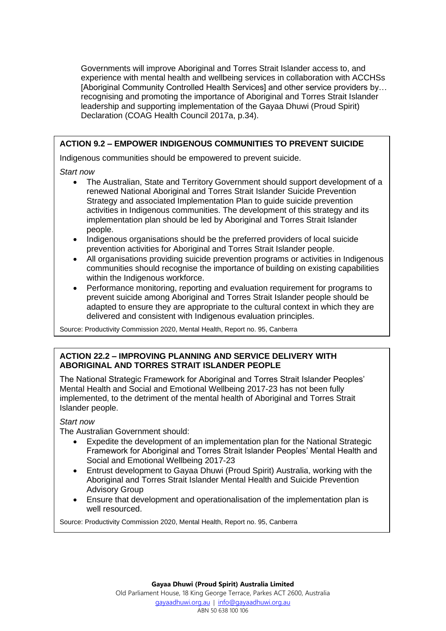Governments will improve Aboriginal and Torres Strait Islander access to, and experience with mental health and wellbeing services in collaboration with ACCHSs [Aboriginal Community Controlled Health Services] and other service providers by… recognising and promoting the importance of Aboriginal and Torres Strait Islander leadership and supporting implementation of the Gayaa Dhuwi (Proud Spirit) Declaration (COAG Health Council 2017a, p.34).

# **ACTION 9.2 – EMPOWER INDIGENOUS COMMUNITIES TO PREVENT SUICIDE**

Indigenous communities should be empowered to prevent suicide.

## *Start now*

- The Australian, State and Territory Government should support development of a renewed National Aboriginal and Torres Strait Islander Suicide Prevention Strategy and associated Implementation Plan to guide suicide prevention activities in Indigenous communities. The development of this strategy and its implementation plan should be led by Aboriginal and Torres Strait Islander people.
- Indigenous organisations should be the preferred providers of local suicide prevention activities for Aboriginal and Torres Strait Islander people.
- All organisations providing suicide prevention programs or activities in Indigenous communities should recognise the importance of building on existing capabilities within the Indigenous workforce.
- Performance monitoring, reporting and evaluation requirement for programs to prevent suicide among Aboriginal and Torres Strait Islander people should be adapted to ensure they are appropriate to the cultural context in which they are delivered and consistent with Indigenous evaluation principles.

Source: Productivity Commission 2020, Mental Health, Report no. 95, Canberra

# **ACTION 22.2 – IMPROVING PLANNING AND SERVICE DELIVERY WITH ABORIGINAL AND TORRES STRAIT ISLANDER PEOPLE**

The National Strategic Framework for Aboriginal and Torres Strait Islander Peoples' Mental Health and Social and Emotional Wellbeing 2017-23 has not been fully implemented, to the detriment of the mental health of Aboriginal and Torres Strait Islander people.

# *Start now*

The Australian Government should:

- Expedite the development of an implementation plan for the National Strategic Framework for Aboriginal and Torres Strait Islander Peoples' Mental Health and Social and Emotional Wellbeing 2017-23
- Entrust development to Gayaa Dhuwi (Proud Spirit) Australia, working with the Aboriginal and Torres Strait Islander Mental Health and Suicide Prevention Advisory Group
- Ensure that development and operationalisation of the implementation plan is well resourced.

Source: Productivity Commission 2020, Mental Health, Report no. 95, Canberra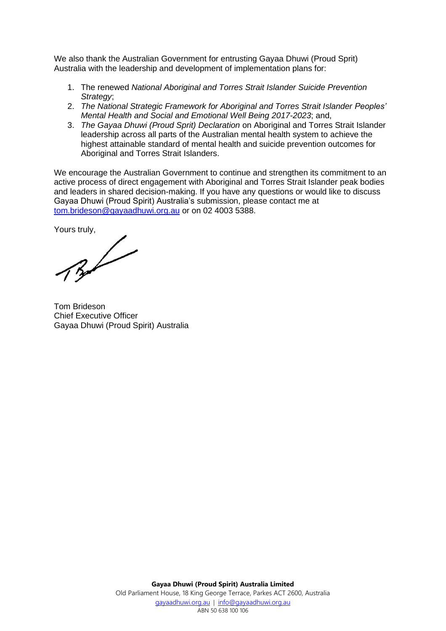We also thank the Australian Government for entrusting Gayaa Dhuwi (Proud Sprit) Australia with the leadership and development of implementation plans for:

- 1. The renewed *National Aboriginal and Torres Strait Islander Suicide Prevention Strategy*;
- 2. *The National Strategic Framework for Aboriginal and Torres Strait Islander Peoples' Mental Health and Social and Emotional Well Being 2017-2023*; and,
- 3. *The Gayaa Dhuwi (Proud Sprit) Declaration* on Aboriginal and Torres Strait Islander leadership across all parts of the Australian mental health system to achieve the highest attainable standard of mental health and suicide prevention outcomes for Aboriginal and Torres Strait Islanders.

We encourage the Australian Government to continue and strengthen its commitment to an active process of direct engagement with Aboriginal and Torres Strait Islander peak bodies and leaders in shared decision-making. If you have any questions or would like to discuss Gayaa Dhuwi (Proud Spirit) Australia's submission, please contact me at [tom.brideson@gayaadhuwi.org.au](mailto:tom.brideson@gayaadhuwi.org.au) or on 02 4003 5388.

Yours truly,

Tom Brideson Chief Executive Officer Gayaa Dhuwi (Proud Spirit) Australia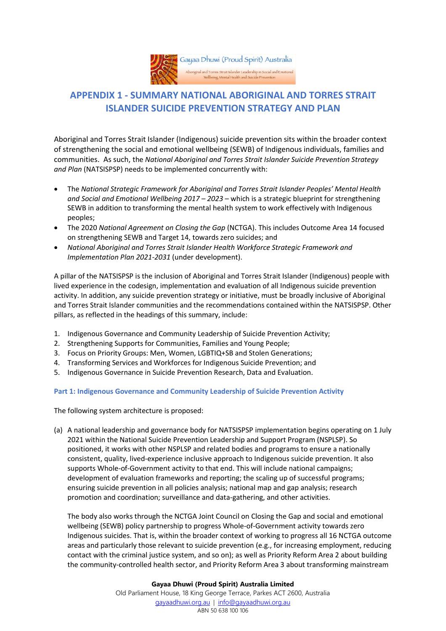

# **APPENDIX 1 - SUMMARY NATIONAL ABORIGINAL AND TORRES STRAIT ISLANDER SUICIDE PREVENTION STRATEGY AND PLAN**

Aboriginal and Torres Strait Islander (Indigenous) suicide prevention sits within the broader context of strengthening the social and emotional wellbeing (SEWB) of Indigenous individuals, families and communities. As such, the *National Aboriginal and Torres Strait Islander Suicide Prevention Strategy and Plan* (NATSISPSP) needs to be implemented concurrently with:

- The *National Strategic Framework for Aboriginal and Torres Strait Islander Peoples' Mental Health and Social and Emotional Wellbeing 2017 – 2023* – which is a strategic blueprint for strengthening SEWB in addition to transforming the mental health system to work effectively with Indigenous peoples;
- The 2020 *National Agreement on Closing the Gap* (NCTGA). This includes Outcome Area 14 focused on strengthening SEWB and Target 14, towards zero suicides; and
- *National Aboriginal and Torres Strait Islander Health Workforce Strategic Framework and Implementation Plan 2021-2031* (under development).

A pillar of the NATSISPSP is the inclusion of Aboriginal and Torres Strait Islander (Indigenous) people with lived experience in the codesign, implementation and evaluation of all Indigenous suicide prevention activity. In addition, any suicide prevention strategy or initiative, must be broadly inclusive of Aboriginal and Torres Strait Islander communities and the recommendations contained within the NATSISPSP. Other pillars, as reflected in the headings of this summary, include:

- 1. Indigenous Governance and Community Leadership of Suicide Prevention Activity;
- 2. Strengthening Supports for Communities, Families and Young People;
- 3. Focus on Priority Groups: Men, Women, LGBTIQ+SB and Stolen Generations;
- 4. Transforming Services and Workforces for Indigenous Suicide Prevention; and
- 5. Indigenous Governance in Suicide Prevention Research, Data and Evaluation.

#### **Part 1: Indigenous Governance and Community Leadership of Suicide Prevention Activity**

The following system architecture is proposed:

(a) A national leadership and governance body for NATSISPSP implementation begins operating on 1 July 2021 within the National Suicide Prevention Leadership and Support Program (NSPLSP). So positioned, it works with other NSPLSP and related bodies and programs to ensure a nationally consistent, quality, lived-experience inclusive approach to Indigenous suicide prevention. It also supports Whole-of-Government activity to that end. This will include national campaigns; development of evaluation frameworks and reporting; the scaling up of successful programs; ensuring suicide prevention in all policies analysis; national map and gap analysis; research promotion and coordination; surveillance and data-gathering, and other activities.

The body also works through the NCTGA Joint Council on Closing the Gap and social and emotional wellbeing (SEWB) policy partnership to progress Whole-of-Government activity towards zero Indigenous suicides. That is, within the broader context of working to progress all 16 NCTGA outcome areas and particularly those relevant to suicide prevention (e.g., for increasing employment, reducing contact with the criminal justice system, and so on); as well as Priority Reform Area 2 about building the community-controlled health sector, and Priority Reform Area 3 about transforming mainstream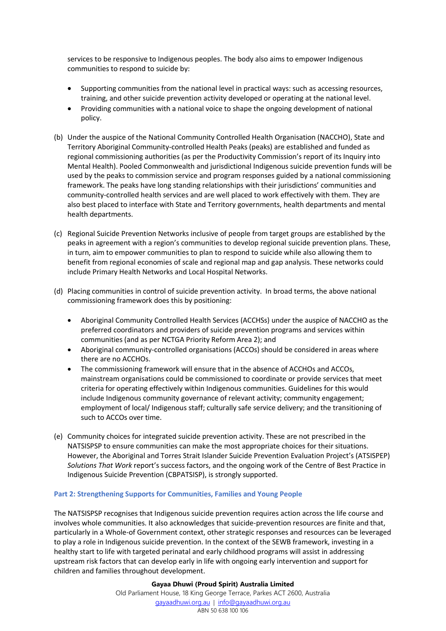services to be responsive to Indigenous peoples. The body also aims to empower Indigenous communities to respond to suicide by:

- Supporting communities from the national level in practical ways: such as accessing resources, training, and other suicide prevention activity developed or operating at the national level.
- Providing communities with a national voice to shape the ongoing development of national policy.
- (b) Under the auspice of the National Community Controlled Health Organisation (NACCHO), State and Territory Aboriginal Community-controlled Health Peaks (peaks) are established and funded as regional commissioning authorities (as per the Productivity Commission's report of its Inquiry into Mental Health). Pooled Commonwealth and jurisdictional Indigenous suicide prevention funds will be used by the peaks to commission service and program responses guided by a national commissioning framework. The peaks have long standing relationships with their jurisdictions' communities and community-controlled health services and are well placed to work effectively with them. They are also best placed to interface with State and Territory governments, health departments and mental health departments.
- (c) Regional Suicide Prevention Networks inclusive of people from target groups are established by the peaks in agreement with a region's communities to develop regional suicide prevention plans. These, in turn, aim to empower communities to plan to respond to suicide while also allowing them to benefit from regional economies of scale and regional map and gap analysis. These networks could include Primary Health Networks and Local Hospital Networks.
- (d) Placing communities in control of suicide prevention activity. In broad terms, the above national commissioning framework does this by positioning:
	- Aboriginal Community Controlled Health Services (ACCHSs) under the auspice of NACCHO as the preferred coordinators and providers of suicide prevention programs and services within communities (and as per NCTGA Priority Reform Area 2); and
	- Aboriginal community-controlled organisations (ACCOs) should be considered in areas where there are no ACCHOs.
	- The commissioning framework will ensure that in the absence of ACCHOs and ACCOs, mainstream organisations could be commissioned to coordinate or provide services that meet criteria for operating effectively within Indigenous communities. Guidelines for this would include Indigenous community governance of relevant activity; community engagement; employment of local/ Indigenous staff; culturally safe service delivery; and the transitioning of such to ACCOs over time.
- (e) Community choices for integrated suicide prevention activity. These are not prescribed in the NATSISPSP to ensure communities can make the most appropriate choices for their situations. However, the Aboriginal and Torres Strait Islander Suicide Prevention Evaluation Project's (ATSISPEP) *Solutions That Work* report's success factors, and the ongoing work of the Centre of Best Practice in Indigenous Suicide Prevention (CBPATSISP), is strongly supported.

#### **Part 2: Strengthening Supports for Communities, Families and Young People**

The NATSISPSP recognises that Indigenous suicide prevention requires action across the life course and involves whole communities. It also acknowledges that suicide-prevention resources are finite and that, particularly in a Whole-of Government context, other strategic responses and resources can be leveraged to play a role in Indigenous suicide prevention. In the context of the SEWB framework, investing in a healthy start to life with targeted perinatal and early childhood programs will assist in addressing upstream risk factors that can develop early in life with ongoing early intervention and support for children and families throughout development.

> **Gayaa Dhuwi (Proud Spirit) Australia Limited** Old Parliament House, 18 King George Terrace, Parkes ACT 2600, Australia [gayaadhuwi.org.au](http://www.gayaadhuwi.org.au/) | [info@gayaadhuwi.org.au](mailto:info@gayaadhuwi.org.au) ABN 50 638 100 106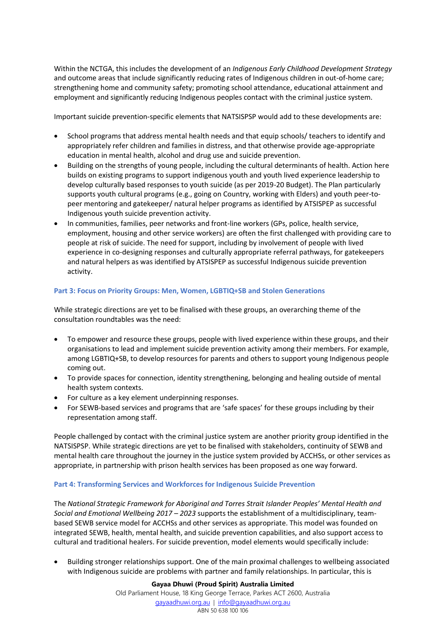Within the NCTGA, this includes the development of an *Indigenous Early Childhood Development Strategy* and outcome areas that include significantly reducing rates of Indigenous children in out-of-home care; strengthening home and community safety; promoting school attendance, educational attainment and employment and significantly reducing Indigenous peoples contact with the criminal justice system.

Important suicide prevention-specific elements that NATSISPSP would add to these developments are:

- School programs that address mental health needs and that equip schools/ teachers to identify and appropriately refer children and families in distress, and that otherwise provide age-appropriate education in mental health, alcohol and drug use and suicide prevention.
- Building on the strengths of young people, including the cultural determinants of health. Action here builds on existing programs to support indigenous youth and youth lived experience leadership to develop culturally based responses to youth suicide (as per 2019-20 Budget). The Plan particularly supports youth cultural programs (e.g., going on Country, working with Elders) and youth peer-topeer mentoring and gatekeeper/ natural helper programs as identified by ATSISPEP as successful Indigenous youth suicide prevention activity.
- In communities, families, peer networks and front-line workers (GPs, police, health service, employment, housing and other service workers) are often the first challenged with providing care to people at risk of suicide. The need for support, including by involvement of people with lived experience in co-designing responses and culturally appropriate referral pathways, for gatekeepers and natural helpers as was identified by ATSISPEP as successful Indigenous suicide prevention activity.

#### **Part 3: Focus on Priority Groups: Men, Women, LGBTIQ+SB and Stolen Generations**

While strategic directions are yet to be finalised with these groups, an overarching theme of the consultation roundtables was the need:

- To empower and resource these groups, people with lived experience within these groups, and their organisations to lead and implement suicide prevention activity among their members. For example, among LGBTIQ+SB, to develop resources for parents and others to support young Indigenous people coming out.
- To provide spaces for connection, identity strengthening, belonging and healing outside of mental health system contexts.
- For culture as a key element underpinning responses.
- For SEWB-based services and programs that are 'safe spaces' for these groups including by their representation among staff.

People challenged by contact with the criminal justice system are another priority group identified in the NATSISPSP. While strategic directions are yet to be finalised with stakeholders, continuity of SEWB and mental health care throughout the journey in the justice system provided by ACCHSs, or other services as appropriate, in partnership with prison health services has been proposed as one way forward.

#### **Part 4: Transforming Services and Workforces for Indigenous Suicide Prevention**

The *National Strategic Framework for Aboriginal and Torres Strait Islander Peoples' Mental Health and Social and Emotional Wellbeing 2017 – 2023* supports the establishment of a multidisciplinary, teambased SEWB service model for ACCHSs and other services as appropriate. This model was founded on integrated SEWB, health, mental health, and suicide prevention capabilities, and also support access to cultural and traditional healers. For suicide prevention, model elements would specifically include:

• Building stronger relationships support. One of the main proximal challenges to wellbeing associated with Indigenous suicide are problems with partner and family relationships. In particular, this is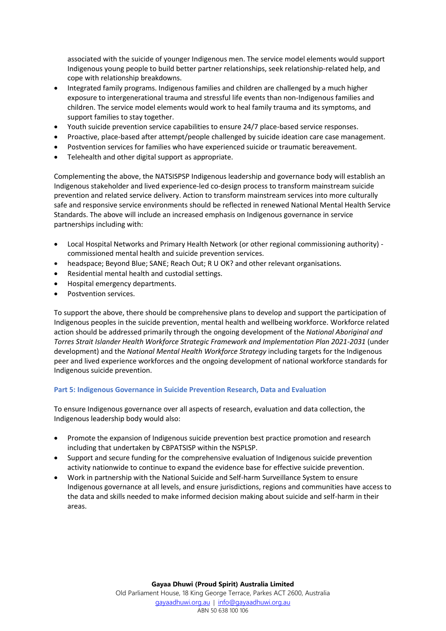associated with the suicide of younger Indigenous men. The service model elements would support Indigenous young people to build better partner relationships, seek relationship-related help, and cope with relationship breakdowns.

- Integrated family programs. Indigenous families and children are challenged by a much higher exposure to intergenerational trauma and stressful life events than non-Indigenous families and children. The service model elements would work to heal family trauma and its symptoms, and support families to stay together.
- Youth suicide prevention service capabilities to ensure 24/7 place-based service responses.
- Proactive, place-based after attempt/people challenged by suicide ideation care case management.
- Postvention services for families who have experienced suicide or traumatic bereavement.
- Telehealth and other digital support as appropriate.

Complementing the above, the NATSISPSP Indigenous leadership and governance body will establish an Indigenous stakeholder and lived experience-led co-design process to transform mainstream suicide prevention and related service delivery. Action to transform mainstream services into more culturally safe and responsive service environments should be reflected in renewed National Mental Health Service Standards. The above will include an increased emphasis on Indigenous governance in service partnerships including with:

- Local Hospital Networks and Primary Health Network (or other regional commissioning authority) commissioned mental health and suicide prevention services.
- headspace; Beyond Blue; SANE; Reach Out; R U OK? and other relevant organisations.
- Residential mental health and custodial settings.
- Hospital emergency departments.
- Postvention services.

To support the above, there should be comprehensive plans to develop and support the participation of Indigenous peoples in the suicide prevention, mental health and wellbeing workforce. Workforce related action should be addressed primarily through the ongoing development of the *National Aboriginal and Torres Strait Islander Health Workforce Strategic Framework and Implementation Plan 2021-2031* (under development) and the *National Mental Health Workforce Strategy* including targets for the Indigenous peer and lived experience workforces and the ongoing development of national workforce standards for Indigenous suicide prevention.

#### **Part 5: Indigenous Governance in Suicide Prevention Research, Data and Evaluation**

To ensure Indigenous governance over all aspects of research, evaluation and data collection, the Indigenous leadership body would also:

- Promote the expansion of Indigenous suicide prevention best practice promotion and research including that undertaken by CBPATSISP within the NSPLSP.
- Support and secure funding for the comprehensive evaluation of Indigenous suicide prevention activity nationwide to continue to expand the evidence base for effective suicide prevention.
- Work in partnership with the National Suicide and Self-harm Surveillance System to ensure Indigenous governance at all levels, and ensure jurisdictions, regions and communities have access to the data and skills needed to make informed decision making about suicide and self-harm in their areas.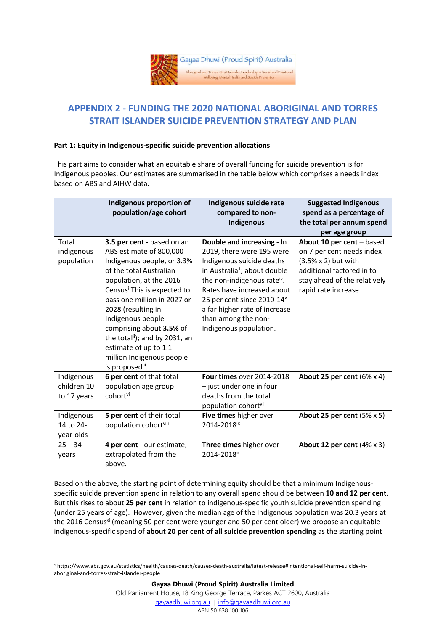

# **APPENDIX 2 - FUNDING THE 2020 NATIONAL ABORIGINAL AND TORRES STRAIT ISLANDER SUICIDE PREVENTION STRATEGY AND PLAN**

#### **Part 1: Equity in Indigenous-specific suicide prevention allocations**

This part aims to consider what an equitable share of overall funding for suicide prevention is for Indigenous peoples. Our estimates are summarised in the table below which comprises a needs index based on ABS and AIHW data.

|                                                        | Indigenous proportion of<br>population/age cohort                                                                                                                                                                                                                                                                                                                                                   | Indigenous suicide rate<br>compared to non-<br>Indigenous                                                                                                                                                                                                                                                                               | <b>Suggested Indigenous</b><br>spend as a percentage of<br>the total per annum spend<br>per age group                                                                       |
|--------------------------------------------------------|-----------------------------------------------------------------------------------------------------------------------------------------------------------------------------------------------------------------------------------------------------------------------------------------------------------------------------------------------------------------------------------------------------|-----------------------------------------------------------------------------------------------------------------------------------------------------------------------------------------------------------------------------------------------------------------------------------------------------------------------------------------|-----------------------------------------------------------------------------------------------------------------------------------------------------------------------------|
| Total<br>indigenous<br>population                      | 3.5 per cent - based on an<br>ABS estimate of 800,000<br>Indigenous people, or 3.3%<br>of the total Australian<br>population, at the 2016<br>Census <sup>i</sup> This is expected to<br>pass one million in 2027 or<br>2028 (resulting in<br>Indigenous people<br>comprising about 3.5% of<br>the totalii); and by 2031, an<br>estimate of up to 1.1<br>million Indigenous people<br>is proposedii. | Double and increasing - In<br>2019, there were 195 were<br>Indigenous suicide deaths<br>in Australia <sup>1</sup> ; about double<br>the non-indigenous rate <sup>iv</sup> .<br>Rates have increased about<br>25 per cent since 2010-14 <sup>v</sup> -<br>a far higher rate of increase<br>than among the non-<br>Indigenous population. | About 10 per cent $-$ based<br>on 7 per cent needs index<br>$(3.5% \times 2)$ but with<br>additional factored in to<br>stay ahead of the relatively<br>rapid rate increase. |
| Indigenous<br>children 10<br>to 17 years<br>Indigenous | 6 per cent of that total<br>population age group<br>cohortvi<br>5 per cent of their total                                                                                                                                                                                                                                                                                                           | Four times over 2014-2018<br>- just under one in four<br>deaths from the total<br>population cohortvii<br>Five times higher over                                                                                                                                                                                                        | About 25 per cent $(6% \times 4)$<br>About 25 per cent $(5% \times 5)$                                                                                                      |
| 14 to 24-<br>year-olds                                 | population cohortviii                                                                                                                                                                                                                                                                                                                                                                               | 2014-2018ix                                                                                                                                                                                                                                                                                                                             |                                                                                                                                                                             |
| $25 - 34$<br>years                                     | 4 per cent - our estimate,<br>extrapolated from the<br>above.                                                                                                                                                                                                                                                                                                                                       | Three times higher over<br>2014-2018 <sup>x</sup>                                                                                                                                                                                                                                                                                       | About 12 per cent $(4% \times 3)$                                                                                                                                           |

Based on the above, the starting point of determining equity should be that a minimum Indigenousspecific suicide prevention spend in relation to any overall spend should be between **10 and 12 per cent**. But this rises to about **25 per cent** in relation to indigenous-specific youth suicide prevention spending (under 25 years of age). However, given the median age of the Indigenous population was 20.3 years at the 2016 Census<sup>xi</sup> (meaning 50 per cent were younger and 50 per cent older) we propose an equitable indigenous-specific spend of **about 20 per cent of all suicide prevention spending** as the starting point

<sup>1</sup> https://www.abs.gov.au/statistics/health/causes-death/causes-death-australia/latest-release#intentional-self-harm-suicide-inaboriginal-and-torres-strait-islander-people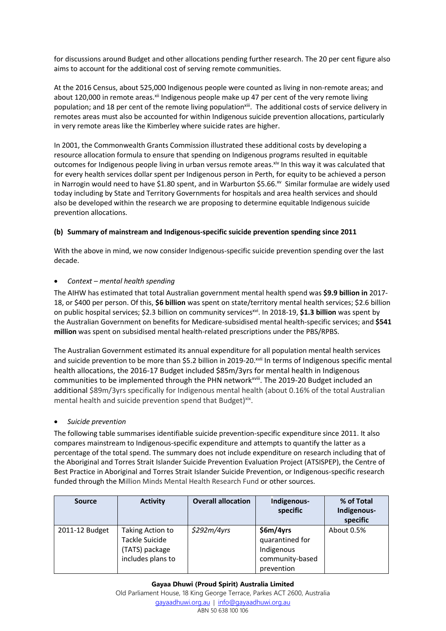for discussions around Budget and other allocations pending further research. The 20 per cent figure also aims to account for the additional cost of serving remote communities.

At the 2016 Census, about 525,000 Indigenous people were counted as living in non-remote areas; and about 120,000 in remote areas.<sup>xii</sup> Indigenous people make up 47 per cent of the very remote living population; and 18 per cent of the remote living population<sup>xiii</sup>. The additional costs of service delivery in remotes areas must also be accounted for within Indigenous suicide prevention allocations, particularly in very remote areas like the Kimberley where suicide rates are higher.

In 2001, the Commonwealth Grants Commission illustrated these additional costs by developing a resource allocation formula to ensure that spending on Indigenous programs resulted in equitable outcomes for Indigenous people living in urban versus remote areas. Xiv In this way it was calculated that for every health services dollar spent per Indigenous person in Perth, for equity to be achieved a person in Narrogin would need to have \$1.80 spent, and in Warburton \$5.66.<sup>xv</sup> Similar formulae are widely used today including by State and Territory Governments for hospitals and area health services and should also be developed within the research we are proposing to determine equitable Indigenous suicide prevention allocations.

#### **(b) Summary of mainstream and Indigenous-specific suicide prevention spending since 2011**

With the above in mind, we now consider Indigenous-specific suicide prevention spending over the last decade.

#### • *Context – mental health spending*

The AIHW has estimated that total Australian government mental health spend was **\$9.9 billion in** 2017- 18, or \$400 per person. Of this, **\$6 billion** was spent on state/territory mental health services; \$2.6 billion on public hospital services; \$2.3 billion on community servicesxvi. In 2018-19, **\$1.3 billion** was spent by the Australian Government on benefits for Medicare-subsidised mental health-specific services; and **\$541 million** was spent on subsidised mental health-related prescriptions under the PBS/RPBS.

The Australian Government estimated its annual expenditure for all population mental health services and suicide prevention to be more than \$5.2 billion in 2019-20.<sup>xvii</sup> In terms of Indigenous specific mental health allocations, the 2016-17 Budget included \$85m/3yrs for mental health in Indigenous communities to be implemented through the PHN network<sup>xviii</sup>. The 2019-20 Budget included an additional \$89m/3yrs specifically for Indigenous mental health (about 0.16% of the total Australian mental health and suicide prevention spend that Budget)<sup>xix</sup>.

#### • *Suicide prevention*

The following table summarises identifiable suicide prevention-specific expenditure since 2011. It also compares mainstream to Indigenous-specific expenditure and attempts to quantify the latter as a percentage of the total spend. The summary does not include expenditure on research including that of the Aboriginal and Torres Strait Islander Suicide Prevention Evaluation Project (ATSISPEP), the Centre of Best Practice in Aboriginal and Torres Strait Islander Suicide Prevention, or Indigenous-specific research funded through the Million Minds Mental Health Research Fund or other sources.

| <b>Source</b>  | <b>Activity</b>                     | <b>Overall allocation</b> | Indigenous-<br>specific                     | % of Total<br>Indigenous- |
|----------------|-------------------------------------|---------------------------|---------------------------------------------|---------------------------|
|                |                                     |                           |                                             | specific                  |
| 2011-12 Budget | Taking Action to<br>Tackle Suicide  | \$292m/4yrs               | \$6m/4yrs<br>quarantined for                | About 0.5%                |
|                | (TATS) package<br>includes plans to |                           | Indigenous<br>community-based<br>prevention |                           |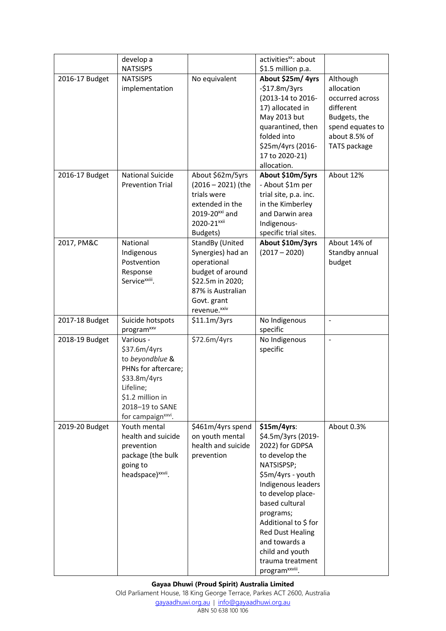|                                  | develop a                                                                                                                                                                 |                                                                                                                                                             | activities <sup>xx</sup> : about                                                                                                                                                                                                                                                                                                |                                                                                                                                          |
|----------------------------------|---------------------------------------------------------------------------------------------------------------------------------------------------------------------------|-------------------------------------------------------------------------------------------------------------------------------------------------------------|---------------------------------------------------------------------------------------------------------------------------------------------------------------------------------------------------------------------------------------------------------------------------------------------------------------------------------|------------------------------------------------------------------------------------------------------------------------------------------|
|                                  | <b>NATSISPS</b>                                                                                                                                                           |                                                                                                                                                             | \$1.5 million p.a.                                                                                                                                                                                                                                                                                                              |                                                                                                                                          |
| 2016-17 Budget<br>2016-17 Budget | <b>NATSISPS</b><br>implementation<br><b>National Suicide</b><br><b>Prevention Trial</b>                                                                                   | No equivalent<br>About \$62m/5yrs<br>$(2016 - 2021)$ (the<br>trials were<br>extended in the<br>2019-20 <sup>xxi</sup> and                                   | About \$25m/4yrs<br>$-$17.8m/3yrs$<br>(2013-14 to 2016-<br>17) allocated in<br>May 2013 but<br>quarantined, then<br>folded into<br>\$25m/4yrs (2016-<br>17 to 2020-21)<br>allocation.<br>About \$10m/5yrs<br>- About \$1m per<br>trial site, p.a. inc.<br>in the Kimberley<br>and Darwin area                                   | Although<br>allocation<br>occurred across<br>different<br>Budgets, the<br>spend equates to<br>about 8.5% of<br>TATS package<br>About 12% |
|                                  |                                                                                                                                                                           | 2020-21 <sup>xxii</sup>                                                                                                                                     | Indigenous-                                                                                                                                                                                                                                                                                                                     |                                                                                                                                          |
| 2017, PM&C                       | National<br>Indigenous<br>Postvention<br>Response<br>Service <sup>xxiii</sup> .                                                                                           | Budgets)<br>StandBy (United<br>Synergies) had an<br>operational<br>budget of around<br>\$22.5m in 2020;<br>87% is Australian<br>Govt. grant<br>revenue.xxiv | specific trial sites.<br>About \$10m/3yrs<br>$(2017 - 2020)$                                                                                                                                                                                                                                                                    | About 14% of<br>Standby annual<br>budget                                                                                                 |
| 2017-18 Budget                   | Suicide hotspots<br>program <sup>xxv</sup>                                                                                                                                | \$11.1m/3yrs                                                                                                                                                | No Indigenous<br>specific                                                                                                                                                                                                                                                                                                       | $\frac{1}{2}$                                                                                                                            |
| 2018-19 Budget                   | Various -<br>\$37.6m/4yrs<br>to beyondblue &<br>PHNs for aftercare;<br>\$33.8m/4yrs<br>Lifeline;<br>\$1.2 million in<br>2018-19 to SANE<br>for campaign <sup>xxvi</sup> . | \$72.6m/4yrs                                                                                                                                                | No Indigenous<br>specific                                                                                                                                                                                                                                                                                                       | $\overline{a}$                                                                                                                           |
| 2019-20 Budget                   | Youth mental<br>health and suicide<br>prevention<br>package (the bulk<br>going to<br>headspace) <sup>xxvii</sup> .                                                        | \$461m/4yrs spend<br>on youth mental<br>health and suicide<br>prevention                                                                                    | $$15m/4yrs$ :<br>\$4.5m/3yrs (2019-<br>2022) for GDPSA<br>to develop the<br>NATSISPSP;<br>\$5m/4yrs - youth<br>Indigenous leaders<br>to develop place-<br>based cultural<br>programs;<br>Additional to \$ for<br><b>Red Dust Healing</b><br>and towards a<br>child and youth<br>trauma treatment<br>program <sup>xxviii</sup> . | About 0.3%                                                                                                                               |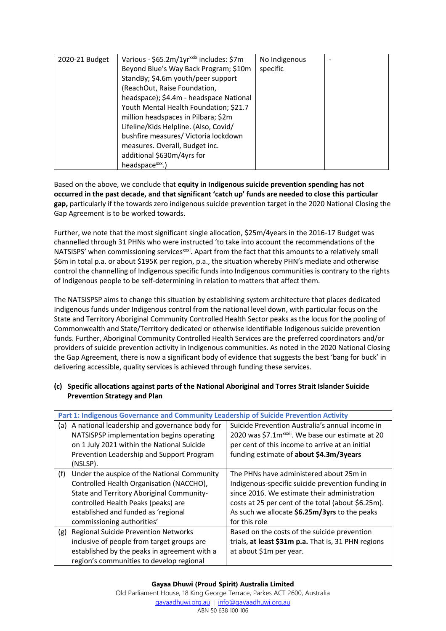| 2020-21 Budget | Various - \$65.2m/1yr <sup>xxix</sup> includes: \$7m | No Indigenous |  |
|----------------|------------------------------------------------------|---------------|--|
|                | Beyond Blue's Way Back Program; \$10m                | specific      |  |
|                | StandBy; \$4.6m youth/peer support                   |               |  |
|                | (ReachOut, Raise Foundation,                         |               |  |
|                | headspace); \$4.4m - headspace National              |               |  |
|                | Youth Mental Health Foundation; \$21.7               |               |  |
|                | million headspaces in Pilbara; \$2m                  |               |  |
|                | Lifeline/Kids Helpline. (Also, Covid/                |               |  |
|                | bushfire measures/ Victoria lockdown                 |               |  |
|                | measures. Overall, Budget inc.                       |               |  |
|                | additional \$630m/4yrs for                           |               |  |
|                | headspace <sup>xxx</sup> .)                          |               |  |

Based on the above, we conclude that **equity in Indigenous suicide prevention spending has not occurred in the past decade, and that significant 'catch up' funds are needed to close this particular gap,** particularly if the towards zero indigenous suicide prevention target in the 2020 National Closing the Gap Agreement is to be worked towards.

Further, we note that the most significant single allocation, \$25m/4years in the 2016-17 Budget was channelled through 31 PHNs who were instructed 'to take into account the recommendations of the NATSISPS' when commissioning services<sup>xxxi</sup>. Apart from the fact that this amounts to a relatively small \$6m in total p.a. or about \$195K per region, p.a., the situation whereby PHN's mediate and otherwise control the channelling of Indigenous specific funds into Indigenous communities is contrary to the rights of Indigenous people to be self-determining in relation to matters that affect them.

The NATSISPSP aims to change this situation by establishing system architecture that places dedicated Indigenous funds under Indigenous control from the national level down, with particular focus on the State and Territory Aboriginal Community Controlled Health Sector peaks as the locus for the pooling of Commonwealth and State/Territory dedicated or otherwise identifiable Indigenous suicide prevention funds. Further, Aboriginal Community Controlled Health Services are the preferred coordinators and/or providers of suicide prevention activity in Indigenous communities. As noted in the 2020 National Closing the Gap Agreement, there is now a significant body of evidence that suggests the best 'bang for buck' in delivering accessible, quality services is achieved through funding these services.

#### **(c) Specific allocations against parts of the National Aboriginal and Torres Strait Islander Suicide Prevention Strategy and Plan**

|     | Part 1: Indigenous Governance and Community Leadership of Suicide Prevention Activity |                                                               |
|-----|---------------------------------------------------------------------------------------|---------------------------------------------------------------|
| (a) | A national leadership and governance body for                                         | Suicide Prevention Australia's annual income in               |
|     | NATSISPSP implementation begins operating                                             | 2020 was \$7.1m <sup>xxxii</sup> . We base our estimate at 20 |
|     | on 1 July 2021 within the National Suicide                                            | per cent of this income to arrive at an initial               |
|     | Prevention Leadership and Support Program                                             | funding estimate of about \$4.3m/3years                       |
|     | (NSLSP).                                                                              |                                                               |
| (f) | Under the auspice of the National Community                                           | The PHNs have administered about 25m in                       |
|     | Controlled Health Organisation (NACCHO),                                              | Indigenous-specific suicide prevention funding in             |
|     | State and Territory Aboriginal Community-                                             | since 2016. We estimate their administration                  |
|     | controlled Health Peaks (peaks) are                                                   | costs at 25 per cent of the total (about \$6.25m).            |
|     | established and funded as 'regional                                                   | As such we allocate \$6.25m/3yrs to the peaks                 |
|     | commissioning authorities'                                                            | for this role                                                 |
| (g) | <b>Regional Suicide Prevention Networks</b>                                           | Based on the costs of the suicide prevention                  |
|     | inclusive of people from target groups are                                            | trials, at least \$31m p.a. That is, 31 PHN regions           |
|     | established by the peaks in agreement with a                                          | at about \$1m per year.                                       |
|     | region's communities to develop regional                                              |                                                               |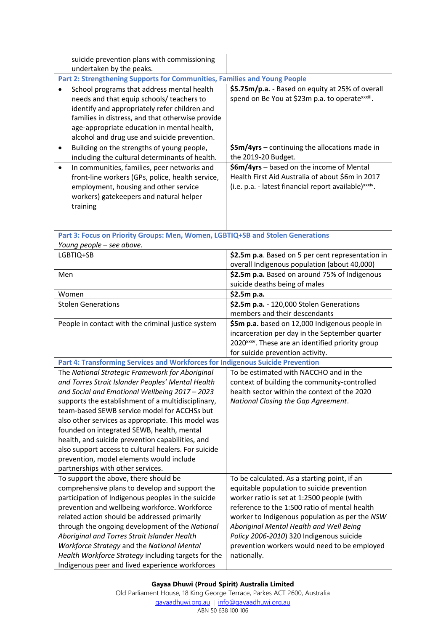| suicide prevention plans with commissioning                                                                                                                                                                                                                                                                                                                                                                                                                                                                                                                   |                                                                                                                                                                                                                                                                                                                                                                                                   |
|---------------------------------------------------------------------------------------------------------------------------------------------------------------------------------------------------------------------------------------------------------------------------------------------------------------------------------------------------------------------------------------------------------------------------------------------------------------------------------------------------------------------------------------------------------------|---------------------------------------------------------------------------------------------------------------------------------------------------------------------------------------------------------------------------------------------------------------------------------------------------------------------------------------------------------------------------------------------------|
| undertaken by the peaks.                                                                                                                                                                                                                                                                                                                                                                                                                                                                                                                                      |                                                                                                                                                                                                                                                                                                                                                                                                   |
| Part 2: Strengthening Supports for Communities, Families and Young People                                                                                                                                                                                                                                                                                                                                                                                                                                                                                     |                                                                                                                                                                                                                                                                                                                                                                                                   |
| School programs that address mental health<br>$\bullet$<br>needs and that equip schools/ teachers to<br>identify and appropriately refer children and<br>families in distress, and that otherwise provide<br>age-appropriate education in mental health,<br>alcohol and drug use and suicide prevention.                                                                                                                                                                                                                                                      | \$5.75m/p.a. - Based on equity at 25% of overall<br>spend on Be You at \$23m p.a. to operatexxxiii.                                                                                                                                                                                                                                                                                               |
| Building on the strengths of young people,<br>٠<br>including the cultural determinants of health.                                                                                                                                                                                                                                                                                                                                                                                                                                                             | \$5m/4yrs - continuing the allocations made in<br>the 2019-20 Budget.                                                                                                                                                                                                                                                                                                                             |
| In communities, families, peer networks and<br>$\bullet$<br>front-line workers (GPs, police, health service,<br>employment, housing and other service<br>workers) gatekeepers and natural helper<br>training                                                                                                                                                                                                                                                                                                                                                  | \$6m/4yrs - based on the income of Mental<br>Health First Aid Australia of about \$6m in 2017<br>(i.e. p.a. - latest financial report available) xxxiv.                                                                                                                                                                                                                                           |
| Part 3: Focus on Priority Groups: Men, Women, LGBTIQ+SB and Stolen Generations<br>Young people - see above.                                                                                                                                                                                                                                                                                                                                                                                                                                                   |                                                                                                                                                                                                                                                                                                                                                                                                   |
| LGBTIQ+SB                                                                                                                                                                                                                                                                                                                                                                                                                                                                                                                                                     | \$2.5m p.a. Based on 5 per cent representation in<br>overall Indigenous population (about 40,000)                                                                                                                                                                                                                                                                                                 |
| Men                                                                                                                                                                                                                                                                                                                                                                                                                                                                                                                                                           | \$2.5m p.a. Based on around 75% of Indigenous<br>suicide deaths being of males                                                                                                                                                                                                                                                                                                                    |
| Women                                                                                                                                                                                                                                                                                                                                                                                                                                                                                                                                                         | \$2.5m p.a.                                                                                                                                                                                                                                                                                                                                                                                       |
| <b>Stolen Generations</b>                                                                                                                                                                                                                                                                                                                                                                                                                                                                                                                                     | \$2.5m p.a. - 120,000 Stolen Generations<br>members and their descendants                                                                                                                                                                                                                                                                                                                         |
| People in contact with the criminal justice system                                                                                                                                                                                                                                                                                                                                                                                                                                                                                                            | \$5m p.a. based on 12,000 Indigenous people in<br>incarceration per day in the September quarter<br>2020 <sup>xxxv</sup> . These are an identified priority group<br>for suicide prevention activity.                                                                                                                                                                                             |
| Part 4: Transforming Services and Workforces for Indigenous Suicide Prevention                                                                                                                                                                                                                                                                                                                                                                                                                                                                                |                                                                                                                                                                                                                                                                                                                                                                                                   |
| The National Strategic Framework for Aboriginal<br>and Torres Strait Islander Peoples' Mental Health<br>and Social and Emotional Wellbeing 2017 - 2023<br>supports the establishment of a multidisciplinary,<br>team-based SEWB service model for ACCHSs but<br>also other services as appropriate. This model was<br>founded on integrated SEWB, health, mental<br>health, and suicide prevention capabilities, and<br>also support access to cultural healers. For suicide<br>prevention, model elements would include<br>partnerships with other services. | To be estimated with NACCHO and in the<br>context of building the community-controlled<br>health sector within the context of the 2020<br>National Closing the Gap Agreement.                                                                                                                                                                                                                     |
| To support the above, there should be<br>comprehensive plans to develop and support the<br>participation of Indigenous peoples in the suicide<br>prevention and wellbeing workforce. Workforce<br>related action should be addressed primarily<br>through the ongoing development of the National<br>Aboriginal and Torres Strait Islander Health<br>Workforce Strategy and the National Mental<br>Health Workforce Strategy including targets for the<br>Indigenous peer and lived experience workforces                                                     | To be calculated. As a starting point, if an<br>equitable population to suicide prevention<br>worker ratio is set at 1:2500 people (with<br>reference to the 1:500 ratio of mental health<br>worker to Indigenous population as per the NSW<br>Aboriginal Mental Health and Well Being<br>Policy 2006-2010) 320 Indigenous suicide<br>prevention workers would need to be employed<br>nationally. |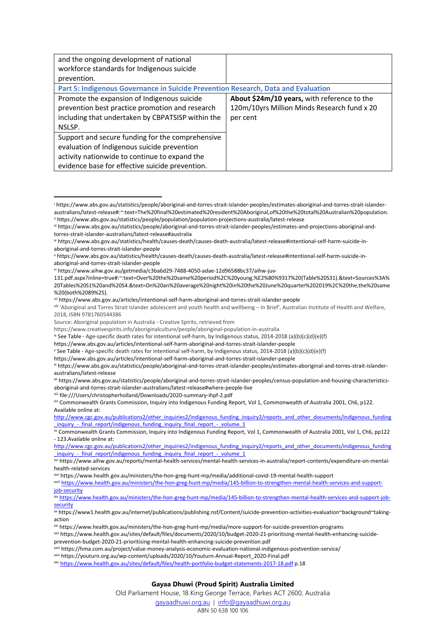| and the ongoing development of national                                           |                                             |
|-----------------------------------------------------------------------------------|---------------------------------------------|
| workforce standards for Indigenous suicide                                        |                                             |
| prevention.                                                                       |                                             |
| Part 5: Indigenous Governance in Suicide Prevention Research, Data and Evaluation |                                             |
| Promote the expansion of Indigenous suicide                                       | About \$24m/10 years, with reference to the |
| prevention best practice promotion and research                                   | 120m/10yrs Million Minds Research fund x 20 |
| including that undertaken by CBPATSISP within the                                 | per cent                                    |
| NSLSP.                                                                            |                                             |
| Support and secure funding for the comprehensive                                  |                                             |
| evaluation of Indigenous suicide prevention                                       |                                             |
| activity nationwide to continue to expand the                                     |                                             |
| evidence base for effective suicide prevention.                                   |                                             |

<sup>i</sup> https://www.abs.gov.au/statistics/people/aboriginal-and-torres-strait-islander-peoples/estimates-aboriginal-and-torres-strait-islanderaustralians/latest-release#:~:text=The%20final%20estimated%20resident%20Aboriginal,of%20the%20total%20Australian%20population. ii https://www.abs.gov.au/statistics/people/population/population-projections-australia/latest-release

ii file:///Users/christopherholland/Downloads/2020-summary-ihpf-2.pdf

xiv Commonwealth Grants Commission, Inquiry into Indigenous Funding Report, Vol 1, Commonwealth of Australia 2001, Ch6, p122. Available online at:

[http://www.cgc.gov.au/publications2/other\\_inquiries2/indigenous\\_funding\\_inquiry2/reports\\_and\\_other\\_documents/indigenous\\_funding](http://www.cgc.gov.au/publications2/other_inquiries2/indigenous_funding_inquiry2/reports_and_other_documents/indigenous_funding_inquiry_-_final_report/indigenous_funding_inquiry_final_report_-_volume_1) inquiry - final\_report/indigenous\_funding\_inquiry\_final\_report\_-\_volume\_1

xv Commonwealth Grants Commission, Inquiry into Indigenous Funding Report, Vol 1, Commonwealth of Australia 2001, Vol 1, Ch6, pp122 - 123.Available online at:

[http://www.cgc.gov.au/publications2/other\\_inquiries2/indigenous\\_funding\\_inquiry2/reports\\_and\\_other\\_documents/indigenous\\_funding](http://www.cgc.gov.au/publications2/other_inquiries2/indigenous_funding_inquiry2/reports_and_other_documents/indigenous_funding_inquiry_-_final_report/indigenous_funding_inquiry_final_report_-_volume_1) inquiry - final\_report/indigenous\_funding\_inquiry\_final\_report\_-\_volume\_1

xviii [https://www.health.gov.au/ministers/the-hon-greg-hunt-mp/media/145-billion-to-strengthen-mental-health-services-and-support](https://www.health.gov.au/ministers/the-hon-greg-hunt-mp/media/145-billion-to-strengthen-mental-health-services-and-support-job-security)[job-security](https://www.health.gov.au/ministers/the-hon-greg-hunt-mp/media/145-billion-to-strengthen-mental-health-services-and-support-job-security)

xix [https://www.health.gov.au/ministers/the-hon-greg-hunt-mp/media/145-billion-to-strengthen-mental-health-services-and-support-job](https://www.health.gov.au/ministers/the-hon-greg-hunt-mp/media/145-billion-to-strengthen-mental-health-services-and-support-job-security)[security](https://www.health.gov.au/ministers/the-hon-greg-hunt-mp/media/145-billion-to-strengthen-mental-health-services-and-support-job-security)

xx https://www1.health.gov.au/internet/publications/publishing.nsf/Content/suicide-prevention-activities-evaluation~background~takingaction

xxi https://www.health.gov.au/ministers/the-hon-greg-hunt-mp/media/more-support-for-suicide-prevention-programs

xxii https://www.health.gov.au/sites/default/files/documents/2020/10/budget-2020-21-prioritising-mental-health-enhancing-suicideprevention-budget-2020-21-prioritising-mental-health-enhancing-suicide-prevention.pdf

xxiv https://youturn.org.au/wp-content/uploads/2020/10/Youturn-Annual-Report\_2020-Final.pdf

xxv <https://www.health.gov.au/sites/default/files/health-portfolio-budget-statements-2017-18.pdf> p.18

#### **Gayaa Dhuwi (Proud Spirit) Australia Limited**

Old Parliament House, 18 King George Terrace, Parkes ACT 2600, Australia

[gayaadhuwi.org.au](http://www.gayaadhuwi.org.au/) | [info@gayaadhuwi.org.au](mailto:info@gayaadhuwi.org.au)

iii https://www.abs.gov.au/statistics/people/aboriginal-and-torres-strait-islander-peoples/estimates-and-projections-aboriginal-andtorres-strait-islander-australians/latest-release#australia

iv https://www.abs.gov.au/statistics/health/causes-death/causes-death-australia/latest-release#intentional-self-harm-suicide-inaboriginal-and-torres-strait-islander-people

<sup>v</sup> https://www.abs.gov.au/statistics/health/causes-death/causes-death-australia/latest-release#intentional-self-harm-suicide-inaboriginal-and-torres-strait-islander-people

vi https://www.aihw.gov.au/getmedia/c3ba6d29-7488-4050-adae-12d96588bc37/aihw-juv-

<sup>131.</sup>pdf.aspx?inline=true#:~:text=Over%20the%20same%20period%2C%20young,%E2%80%9317%20(Table%20S31).&text=Sources%3A% 20Tables%20S1%20and%20S4.&text=On%20an%20average%20night%20in%20the%20June%20quarter%202019%2C%20the,the%20same %20(both%2089%25).

vii https://www.abs.gov.au/articles/intentional-self-harm-aboriginal-and-torres-strait-islander-people

viii 'Aboriginal and Torres Strait Islander adolescent and youth health and wellbeing – In Brief', Australian Institute of Health and Welfare, 2018, ISBN 9781760544386

Source: Aboriginal population in Australia - Creative Spirits, retrieved from

https://www.creativespirits.info/aboriginalculture/people/aboriginal-population-in-australia

 $\alpha$  See Table - Age-specific death rates for intentional self-harm, by Indigenous status, 2014-2018 (a)(b)(c)(d)(e)(f)

https://www.abs.gov.au/articles/intentional-self-harm-aboriginal-and-torres-strait-islander-people

<sup>x</sup> See Table - Age-specific death rates for intentional self-harm, by Indigenous status, 2014-2018 (a)(b)(c)(d)(e)(f)

https://www.abs.gov.au/articles/intentional-self-harm-aboriginal-and-torres-strait-islander-people

xi https://www.abs.gov.au/statistics/people/aboriginal-and-torres-strait-islander-peoples/estimates-aboriginal-and-torres-strait-islanderaustralians/latest-release

xii https://www.abs.gov.au/statistics/people/aboriginal-and-torres-strait-islander-peoples/census-population-and-housing-characteristicsaboriginal-and-torres-strait-islander-australians/latest-release#where-people-live

xvi https://www.aihw.gov.au/reports/mental-health-services/mental-health-services-in-australia/report-contents/expenditure-on-mentalhealth-related-services

xvii https://www.health.gov.au/ministers/the-hon-greg-hunt-mp/media/additional-covid-19-mental-health-support

xxiii https://hma.com.au/project/value-money-analysis-economic-evaluation-national-indigenous-postvention-service/